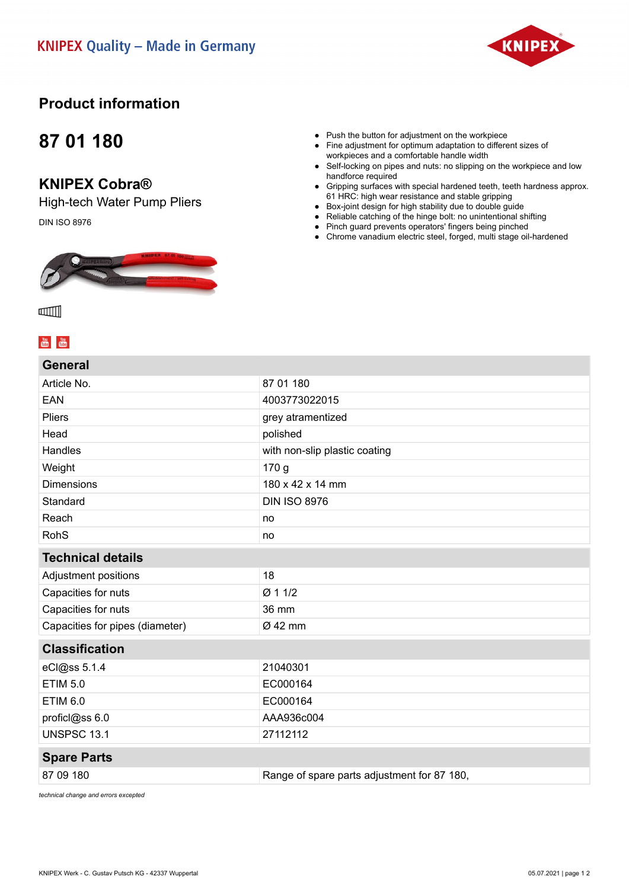

## **Product information**

## **87 01 180**

### **KNIPEX Cobra®**

High-tech Water Pump Pliers DIN ISO 8976



#### ● Push the button for adjustment on the workpiece

- Fine adjustment for optimum adaptation to different sizes of workpieces and a comfortable handle width
- Self-locking on pipes and nuts: no slipping on the workpiece and low handforce required
- Gripping surfaces with special hardened teeth, teeth hardness approx. 61 HRC: high wear resistance and stable gripping
- Box-joint design for high stability due to double guide
- Reliable catching of the hinge bolt: no unintentional shifting
- Pinch guard prevents operators' fingers being pinched
- Chrome vanadium electric steel, forged, multi stage oil-hardened



### $\frac{You}{f(0)}$   $\frac{You}{f(0)}$

| <b>General</b>                  |                                             |
|---------------------------------|---------------------------------------------|
| Article No.                     | 87 01 180                                   |
| <b>EAN</b>                      | 4003773022015                               |
| <b>Pliers</b>                   | grey atramentized                           |
| Head                            | polished                                    |
| Handles                         | with non-slip plastic coating               |
| Weight                          | 170 <sub>g</sub>                            |
| <b>Dimensions</b>               | 180 x 42 x 14 mm                            |
| Standard                        | <b>DIN ISO 8976</b>                         |
| Reach                           | no                                          |
| <b>RohS</b>                     | no                                          |
| <b>Technical details</b>        |                                             |
| Adjustment positions            | 18                                          |
| Capacities for nuts             | Ø 1 1/2                                     |
| Capacities for nuts             | 36 mm                                       |
| Capacities for pipes (diameter) | Ø 42 mm                                     |
| <b>Classification</b>           |                                             |
| eCl@ss 5.1.4                    | 21040301                                    |
| <b>ETIM 5.0</b>                 | EC000164                                    |
| <b>ETIM 6.0</b>                 | EC000164                                    |
| proficl@ss 6.0                  | AAA936c004                                  |
| <b>UNSPSC 13.1</b>              | 27112112                                    |
| <b>Spare Parts</b>              |                                             |
| 87 09 180                       | Range of spare parts adjustment for 87 180, |
|                                 |                                             |

*technical change and errors excepted*